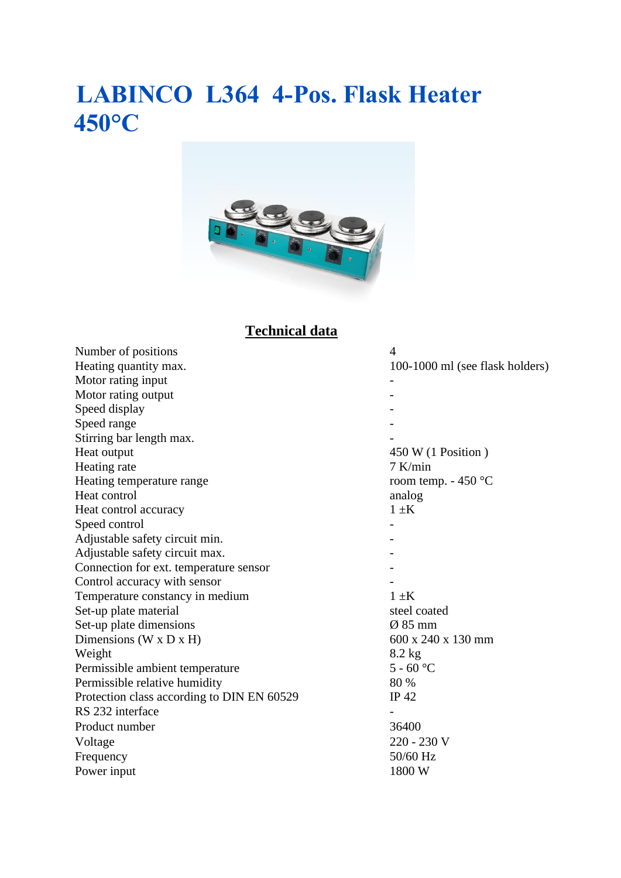## **LABINCO L364 4-Pos. Flask Heater 450°C**



### **Technical data**

| Number of positions                        | $\overline{4}$                  |  |  |
|--------------------------------------------|---------------------------------|--|--|
| Heating quantity max.                      | 100-1000 ml (see flask holders) |  |  |
| Motor rating input                         |                                 |  |  |
| Motor rating output                        |                                 |  |  |
| Speed display                              |                                 |  |  |
| Speed range                                |                                 |  |  |
| Stirring bar length max.                   |                                 |  |  |
| Heat output                                | 450 W (1 Position)              |  |  |
| Heating rate                               | $7$ K/min                       |  |  |
| Heating temperature range                  | room temp. $-450$ °C            |  |  |
| Heat control                               | analog                          |  |  |
| Heat control accuracy                      | $1 \pm K$                       |  |  |
| Speed control                              |                                 |  |  |
| Adjustable safety circuit min.             |                                 |  |  |
| Adjustable safety circuit max.             |                                 |  |  |
| Connection for ext. temperature sensor     |                                 |  |  |
| Control accuracy with sensor               |                                 |  |  |
| Temperature constancy in medium            | $1 \pm K$                       |  |  |
| Set-up plate material                      | steel coated                    |  |  |
| Set-up plate dimensions                    | $\varnothing$ 85 mm             |  |  |
| Dimensions ( $W \times D \times H$ )       | 600 x 240 x 130 mm              |  |  |
| Weight                                     | $8.2$ kg                        |  |  |
| Permissible ambient temperature            | $5 - 60$ °C                     |  |  |
| Permissible relative humidity              | 80 %                            |  |  |
| Protection class according to DIN EN 60529 | IP 42                           |  |  |
| RS 232 interface                           |                                 |  |  |
| Product number                             | 36400                           |  |  |
| Voltage                                    | 220 - 230 V                     |  |  |
| Frequency                                  | 50/60 Hz                        |  |  |
| Power input                                | 1800 W                          |  |  |